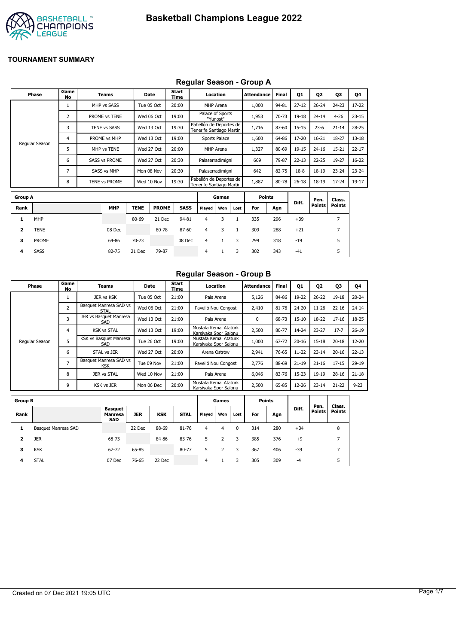

#### **Regular Season - Group A**

| Phase          | Game<br>No | <b>Teams</b>         | Date       | Start<br>Time | Location                                            | Attendance | <b>Final</b> | Q1        | Q <sub>2</sub> | Q3        | Q4        |
|----------------|------------|----------------------|------------|---------------|-----------------------------------------------------|------------|--------------|-----------|----------------|-----------|-----------|
|                |            | MHP vs SASS          | Tue 05 Oct | 20:00         | MHP Arena                                           | 1,000      | 94-81        | $27 - 12$ | $26 - 24$      | $24 - 23$ | $17 - 22$ |
|                | h          | PROME vs TENE        | Wed 06 Oct | 19:00         | Palace of Sports<br>"Yunost"                        | 1,953      | 70-73        | 19-18     | $24 - 14$      | $4 - 26$  | $23 - 15$ |
|                | 3          | <b>TENE vs SASS</b>  | Wed 13 Oct | 19:30         | Pabellón de Deportes de<br>Tenerife Santiago Martin | 1,716      | 87-60        | $15 - 15$ | $23-6$         | $21 - 14$ | 28-25     |
| Regular Season | 4          | PROME vs MHP         | Wed 13 Oct | 19:00         | Sports Palace                                       | 1,600      | 64-86        | 17-20     | $16 - 21$      | 18-27     | $13 - 18$ |
|                |            | MHP vs TENE          | Wed 27 Oct | 20:00         | MHP Arena                                           | 1,327      | 80-69        | 19-15     | $24 - 16$      | $15 - 21$ | $22 - 17$ |
|                | 6          | <b>SASS vs PROME</b> | Wed 27 Oct | 20:30         | Palaserradimigni                                    | 669        | 79-87        | $22 - 13$ | $22 - 25$      | 19-27     | $16 - 22$ |
|                | ⇁          | SASS vs MHP          | Mon 08 Nov | 20:30         | Palaserradimigni                                    | 642        | 82-75        | $18-8$    | 18-19          | $23 - 24$ | $23 - 24$ |
|                | 8          | TENE vs PROME        | Wed 10 Nov | 19:30         | Pabellón de Deportes de<br>Tenerife Santiago Martin | 1,887      | 80-78        | $26 - 18$ | 18-19          | 17-24     | 19-17     |

| <b>Group A</b> |             |            |             |              |             |        | Games |      | <b>Points</b> |     | Diff. | Pen.          | Class.        |
|----------------|-------------|------------|-------------|--------------|-------------|--------|-------|------|---------------|-----|-------|---------------|---------------|
| Rank           |             | <b>MHP</b> | <b>TENE</b> | <b>PROME</b> | <b>SASS</b> | Played | Won   | Lost | For           | Agn |       | <b>Points</b> | <b>Points</b> |
| л              | MHP         |            | 80-69       | 21 Dec       | 94-81       | 4      |       |      | 335           | 296 | $+39$ |               |               |
| 2              | <b>TENE</b> | 08 Dec     |             | 80-78        | 87-60       | 4      |       |      | 309           | 288 | $+21$ |               |               |
| 3              | PROME       | 64-86      | 70-73       |              | 08 Dec      | 4      |       | 3    | 299           | 318 | $-19$ |               | 5             |
| 4              | <b>SASS</b> | 82-75      | 21 Dec      | 79-87        |             | 4      |       | 3    | 302           | 343 | $-41$ |               | 5             |

#### **Regular Season - Group B**

| Phase          | Game<br>No     | Teams                                 | Date       | Start<br>Time | Location                                       | Attendance | <b>Final</b> | Q1        | Q <sub>2</sub> | Q3        | Q4        |
|----------------|----------------|---------------------------------------|------------|---------------|------------------------------------------------|------------|--------------|-----------|----------------|-----------|-----------|
|                |                | JER vs KSK                            | Tue 05 Oct | 21:00         | Pais Arena                                     | 5,126      | 84-86        | 19-22     | $26 - 22$      | $19 - 18$ | $20 - 24$ |
|                | $\overline{2}$ | Basquet Manresa SAD vs<br><b>STAL</b> | Wed 06 Oct | 21:00         | Pavelló Nou Congost                            | 2,410      | 81-76        | $24 - 20$ | $11 - 26$      | $22 - 16$ | $24 - 14$ |
|                | 3              | JER vs Basquet Manresa<br>SAD         | Wed 13 Oct | 21:00         | Pais Arena                                     | 0          | 68-73        | $15 - 10$ | 18-22          | $17 - 16$ | 18-25     |
|                | 4              | <b>KSK vs STAL</b>                    | Wed 13 Oct | 19:00         | Mustafa Kemal Atatürk<br>Karsiyaka Spor Salonu | 2,500      | 80-77        | 14-24     | $23 - 27$      | $17 - 7$  | $26 - 19$ |
| Regular Season | 5              | KSK vs Basquet Manresa<br>SAD         | Tue 26 Oct | 19:00         | Mustafa Kemal Atatürk<br>Karsiyaka Spor Salonu | 1,000      | 67-72        | $20 - 16$ | $15 - 18$      | $20 - 18$ | $12 - 20$ |
|                | 6              | STAL vs JER                           | Wed 27 Oct | 20:00         | Arena Ostrów                                   | 2,941      | 76-65        | $11-22$   | $23 - 14$      | $20 - 16$ | $22 - 13$ |
|                | ∍              | Basquet Manresa SAD vs<br><b>KSK</b>  | Tue 09 Nov | 21:00         | Pavelló Nou Congost                            | 2,776      | 88-69        | $21 - 19$ | $21 - 16$      | $17 - 15$ | 29-19     |
|                | 8              | <b>JER vs STAL</b>                    | Wed 10 Nov | 21:00         | Pais Arena                                     | 6.046      | 83-76        | $15 - 23$ | 19-19          | $28 - 16$ | $21 - 18$ |
|                | 9              | KSK vs JER                            | Mon 06 Dec | 20:00         | Mustafa Kemal Atatürk<br>Karsiyaka Spor Salonu | 2,500      | 65-85        | 12-26     | $23 - 14$      | $21 - 22$ | $9 - 23$  |

| <b>Group B</b> |                     |                                         |            |            |             |        | Games |      | <b>Points</b> |     |       |                       |                         |
|----------------|---------------------|-----------------------------------------|------------|------------|-------------|--------|-------|------|---------------|-----|-------|-----------------------|-------------------------|
| Rank           |                     | <b>Basquet</b><br>Manresa<br><b>SAD</b> | <b>JER</b> | <b>KSK</b> | <b>STAL</b> | Played | Won   | Lost | For           | Agn | Diff. | Pen.<br><b>Points</b> | Class.<br><b>Points</b> |
| 1              | Basquet Manresa SAD |                                         | 22 Dec     | 88-69      | 81-76       | 4      | 4     | 0    | 314           | 280 | $+34$ |                       | 8                       |
| 2              | <b>JER</b>          | 68-73                                   |            | 84-86      | 83-76       | 5      |       |      | 385           | 376 | $+9$  |                       |                         |
| з              | <b>KSK</b>          | 67-72                                   | 65-85      |            | 80-77       | 5      |       |      | 367           | 406 | -39   |                       |                         |
| 4              | <b>STAL</b>         | 07 Dec                                  | 76-65      | 22 Dec     |             | 4      |       |      | 305           | 309 | -4    |                       | 5                       |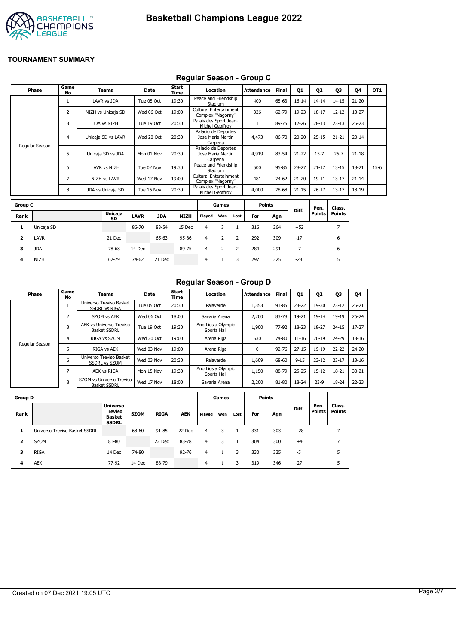

# **Regular Season - Group C**

|                         | Phase          | Game<br><b>No</b> | <b>Teams</b>       |             | Date       | Start<br>Time |                                                    | Location                     |                | <b>Attendance</b> | <b>Final</b> | Q1        | Q <sub>2</sub> | Q3             | Q4        | OT <sub>1</sub> |
|-------------------------|----------------|-------------------|--------------------|-------------|------------|---------------|----------------------------------------------------|------------------------------|----------------|-------------------|--------------|-----------|----------------|----------------|-----------|-----------------|
|                         |                | 1                 | LAVR vs JDA        | Tue 05 Oct  |            | 19:30         | Peace and Friendship                               | Stadium                      |                | 400               | 65-63        | $16 - 14$ | $14 - 14$      | $14 - 15$      | $21 - 20$ |                 |
|                         |                | 2                 | NIZH vs Unicaja SD |             | Wed 06 Oct | 19:00         | <b>Cultural Entertainment</b><br>Complex "Nagorny" |                              |                | 326               | 62-79        | 19-23     | $18 - 17$      | $12 - 12$      | $13 - 27$ |                 |
|                         |                | 3                 | JDA vs NIZH        |             | Tue 19 Oct | 20:30         | Palais des Sport Jean-                             | Michel Geoffroy              |                | $\mathbf{1}$      | 89-75        | 12-26     | $28-13$        | $23 - 13$      | $26 - 23$ |                 |
|                         |                | 4                 | Unicaja SD vs LAVR |             | Wed 20 Oct | 20:30         | Palacio de Deportes                                | Jose Maria Martin<br>Carpena |                | 4,473             | 86-70        | $20 - 20$ | $25 - 15$      | $21 - 21$      | $20 - 14$ |                 |
|                         | Regular Season | 5                 | Unicaja SD vs JDA  | Mon 01 Nov  |            | 20:30         | Palacio de Deportes                                | Jose Maria Martin<br>Carpena |                | 4,919             | 83-54        | $21 - 22$ | $15 - 7$       | $26 - 7$       | $21 - 18$ |                 |
|                         |                | 6                 | LAVR vs NIZH       |             | Tue 02 Nov | 19:30         | Peace and Friendship                               | Stadium                      |                | 500               | 95-86        | 28-27     | $21 - 17$      | $13 - 15$      | 18-21     | $15-6$          |
|                         |                | 7                 | NIZH vs LAVR       | Wed 17 Nov  |            | 19:00         | <b>Cultural Entertainment</b><br>Complex "Nagorny" |                              |                | 481               | 74-62        | $21 - 20$ | $19 - 11$      | $13 - 17$      | $21 - 14$ |                 |
|                         |                | 8                 | JDA vs Unicaja SD  | Tue 16 Nov  |            | 20:30         | Palais des Sport Jean-                             | Michel Geoffroy              |                | 4,000             | 78-68        | $21 - 15$ | $26 - 17$      | $13 - 17$      | 18-19     |                 |
| <b>Group C</b>          |                |                   |                    |             |            |               |                                                    | Games                        |                | <b>Points</b>     |              |           | Pen.           | Class.         |           |                 |
| Rank                    |                |                   | Unicaja<br>SD      | <b>LAVR</b> | <b>JDA</b> | <b>NIZH</b>   | Played                                             | Won                          | Lost           | For               | Agn          | Diff.     | <b>Points</b>  | <b>Points</b>  |           |                 |
| 1                       | Unicaja SD     |                   |                    | 86-70       | 83-54      | 15 Dec        | 4                                                  | 3                            | $\mathbf{1}$   | 316               | 264          | $+52$     |                | $\overline{7}$ |           |                 |
| $\overline{\mathbf{2}}$ | <b>LAVR</b>    |                   | 21 Dec             |             | 65-63      | 95-86         | $\overline{4}$                                     | $\overline{2}$               | $\overline{2}$ | 292               | 309          | $-17$     |                | 6              |           |                 |
| з                       | <b>JDA</b>     |                   | 78-68              | 14 Dec      |            | 89-75         | $\overline{4}$                                     | 2                            | $\overline{2}$ | 284               | 291          | $-7$      |                | 6              |           |                 |
| 4                       | <b>NIZH</b>    |                   | 62-79              | 74-62       | 21 Dec     |               | $\overline{4}$                                     | $\mathbf{1}$                 | 3              | 297               | 325          | $-28$     |                | 5              |           |                 |

#### **Regular Season - Group D**

| Phase          | Game<br>No | <b>Teams</b>                                    | Date       | Start<br>Time | Location                          | Attendance  | <b>Final</b> | <b>Q1</b> | Q2        | Q3        | 04        |
|----------------|------------|-------------------------------------------------|------------|---------------|-----------------------------------|-------------|--------------|-----------|-----------|-----------|-----------|
|                |            | Universo Treviso Basket<br><b>SSDRL vs RIGA</b> | Tue 05 Oct | 20:30         | Palaverde                         | 1,353       | $91 - 85$    | $23 - 22$ | 19-30     | $23 - 12$ | $26 - 21$ |
|                | 2          | SZOM vs AEK                                     | Wed 06 Oct | 18:00         | Savaria Arena                     | 2,200       | 83-78        | 19-21     | 19-14     | $19 - 19$ | $26 - 24$ |
|                | 3          | AEK vs Universo Treviso<br><b>Basket SSDRL</b>  | Tue 19 Oct | 19:30         | Ano Liosia Olympic<br>Sports Hall | 1,900       | 77-92        | 18-23     | 18-27     | $24 - 15$ | $17-27$   |
|                | 4          | RIGA vs SZOM                                    | Wed 20 Oct | 19:00         | Arena Riga                        | 530         | 74-80        | $11 - 16$ | $26 - 19$ | 24-29     | $13 - 16$ |
| Regular Season | כ          | RIGA vs AEK                                     | Wed 03 Nov | 19:00         | Arena Riga                        | $\mathbf 0$ | $92 - 76$    | $27 - 15$ | 19-19     | $22 - 22$ | $24 - 20$ |
|                | 6          | Universo Treviso Basket<br><b>SSDRL vs SZOM</b> | Wed 03 Nov | 20:30         | Palaverde                         | 1,609       | 68-60        | $9 - 15$  | $23 - 12$ | $23 - 17$ | $13 - 16$ |
|                | ∍          | <b>AEK vs RIGA</b>                              | Mon 15 Nov | 19:30         | Ano Liosia Olympic<br>Sports Hall | 1,150       | 88-79        | $25 - 25$ | $15 - 12$ | 18-21     | $30 - 21$ |
|                | 8          | SZOM vs Universo Treviso<br><b>Basket SSDRL</b> | Wed 17 Nov | 18:00         | Savaria Arena                     | 2,200       | 81-80        | 18-24     | $23-9$    | 18-24     | $22 - 23$ |

| <b>Group D</b> |                               |                                                                    |             |             |            |        | Games |      |     | <b>Points</b> |       |                       |                         |
|----------------|-------------------------------|--------------------------------------------------------------------|-------------|-------------|------------|--------|-------|------|-----|---------------|-------|-----------------------|-------------------------|
| Rank           |                               | <b>Universo</b><br><b>Treviso</b><br><b>Basket</b><br><b>SSDRL</b> | <b>SZOM</b> | <b>RIGA</b> | <b>AEK</b> | Played | Won   | Lost | For | Agn           | Diff. | Pen.<br><b>Points</b> | Class.<br><b>Points</b> |
|                | Universo Treviso Basket SSDRL |                                                                    | 68-60       | 91-85       | 22 Dec     | 4      | 3     |      | 331 | 303           | $+28$ |                       | 7                       |
| 2              | <b>SZOM</b>                   | 81-80                                                              |             | 22 Dec      | 83-78      | 4      | 3     |      | 304 | 300           | $+4$  |                       | ⇁                       |
| з              | <b>RIGA</b>                   | 14 Dec                                                             | 74-80       |             | $92 - 76$  | 4      |       | 3    | 330 | 335           | -5    |                       | 5                       |
| 4              | <b>AEK</b>                    | 77-92                                                              | 14 Dec      | 88-79       |            | 4      |       |      | 319 | 346           | $-27$ |                       | 5                       |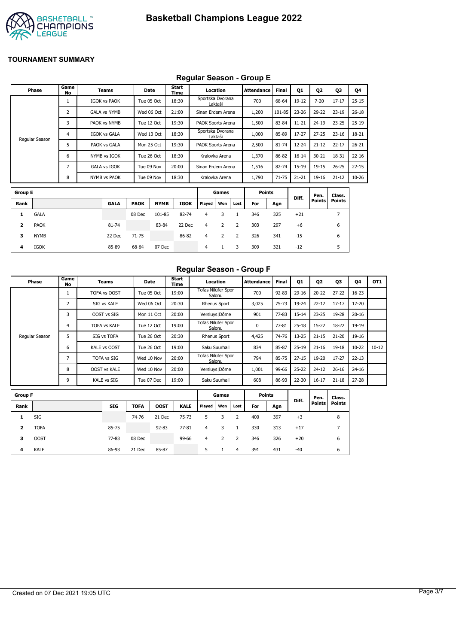

## **Regular Season - Group E**

|                         | Phase             | Game<br>No     | Teams               |             | Date        | Start<br>Time |                   | Location       |                | <b>Attendance</b> | <b>Final</b> | 01        | Q <sub>2</sub> | Q3             | Q4        |
|-------------------------|-------------------|----------------|---------------------|-------------|-------------|---------------|-------------------|----------------|----------------|-------------------|--------------|-----------|----------------|----------------|-----------|
|                         |                   | 1              | <b>IGOK vs PAOK</b> |             | Tue 05 Oct  | 18:30         | Sportska Dvorana  | Laktaši        |                | 700               | 68-64        | $19-12$   | $7 - 20$       | $17 - 17$      | $25 - 15$ |
|                         |                   | 2              | <b>GALA vs NYMB</b> |             | Wed 06 Oct  | 21:00         | Sinan Erdem Arena |                |                | 1,200             | 101-85       | $23 - 26$ | 29-22          | $23 - 19$      | $26 - 18$ |
|                         |                   | 3              | PAOK vs NYMB        |             | Tue 12 Oct  | 19:30         | PAOK Sports Arena |                |                | 1,500             | 83-84        | $11 - 21$ | $24 - 19$      | $23 - 25$      | $25-19$   |
|                         |                   | 4              | <b>IGOK vs GALA</b> |             | Wed 13 Oct  | 18:30         | Sportska Dvorana  | Laktaši        |                | 1,000             | 85-89        | $17-27$   | $27 - 25$      | $23 - 16$      | 18-21     |
|                         | Regular Season    | 5              | PAOK vs GALA        |             | Mon 25 Oct  | 19:30         | PAOK Sports Arena |                |                | 2,500             | 81-74        | 12-24     | $21 - 12$      | $22 - 17$      | $26 - 21$ |
|                         | 6<br>NYMB vs IGOK |                |                     | Tue 26 Oct  | 18:30       |               | Kralovka Arena    |                | 1,370          | 86-82             | $16 - 14$    | $30 - 21$ | 18-31          | $22 - 16$      |           |
|                         |                   | $\overline{7}$ | <b>GALA vs IGOK</b> |             | Tue 09 Nov  | 20:00         | Sinan Erdem Arena |                |                | 1,516             | 82-74        | 15-19     | $19 - 15$      | $26 - 25$      | $22 - 15$ |
|                         |                   | 8              | <b>NYMB vs PAOK</b> |             | Tue 09 Nov  | 18:30         |                   | Kralovka Arena |                | 1,790             | $71 - 75$    | $21 - 21$ | 19-16          | $21 - 12$      | $10 - 26$ |
| <b>Group E</b>          |                   |                |                     |             |             |               |                   | Games          |                | <b>Points</b>     |              |           | Pen.           | Class.         |           |
| Rank                    |                   |                | <b>GALA</b>         | <b>PAOK</b> | <b>NYMB</b> | <b>IGOK</b>   | Played            | Won            | Lost           | For               | Agn          | Diff.     | <b>Points</b>  | <b>Points</b>  |           |
| 1                       | <b>GALA</b>       |                |                     | 08 Dec      | 101-85      | 82-74         | $\overline{4}$    | 3              | $\mathbf{1}$   | 346               | 325          | $+21$     |                | $\overline{7}$ |           |
| $\overline{\mathbf{2}}$ | <b>PAOK</b>       |                | 81-74               |             | 83-84       | 22 Dec        | $\overline{4}$    | $\overline{2}$ | $\overline{2}$ | 303               | 297          | $+6$      |                | 6              |           |
| з                       | <b>NYMB</b>       |                | 22 Dec              | $71 - 75$   |             | 86-82         | $\overline{4}$    | 2              | 2              | 326               | 341          | $-15$     |                | 6              |           |
| 4                       | IGOK              |                | 85-89               | 68-64       | 07 Dec      |               | $\overline{4}$    | $\mathbf{1}$   | 3              | 309               | 321          | $-12$     |                | 5              |           |

## **Regular Season - Group F**

| Phase          | Game<br>No | <b>Teams</b>        | Date       | Start<br>Time | Location                            | Attendance | <b>Final</b> | Q1        | 02        | 03        | 04        | OT <sub>1</sub> |
|----------------|------------|---------------------|------------|---------------|-------------------------------------|------------|--------------|-----------|-----------|-----------|-----------|-----------------|
|                |            | TOFA vs OOST        | Tue 05 Oct | 19:00         | Tofas Nilüfer Spor<br>Salonu        | 700        | $92 - 83$    | $29 - 16$ | $20 - 22$ | $27 - 22$ | $16 - 23$ |                 |
|                | h          | SIG vs KALE         | Wed 06 Oct | 20:30         | <b>Rhenus Sport</b>                 | 3,025      | 75-73        | 19-24     | $22 - 12$ | $17 - 17$ | 17-20     |                 |
|                |            | OOST vs SIG         | Mon 11 Oct | 20:00         | Versluys   Dôme                     | 901        | $77 - 83$    | $15 - 14$ | $23 - 25$ | 19-28     | $20 - 16$ |                 |
|                | 4          | <b>TOFA vs KALE</b> | Tue 12 Oct | 19:00         | Tofas Nilüfer Spor<br>Salonu        | $\Omega$   | $77 - 81$    | $25 - 18$ | $15 - 22$ | 18-22     | 19-19     |                 |
| Regular Season |            | SIG vs TOFA         | Tue 26 Oct | 20:30         | <b>Rhenus Sport</b>                 | 4,425      | 74-76        | 13-25     | $21 - 15$ | $21 - 20$ | 19-16     |                 |
|                | 6          | <b>KALE vs OOST</b> | Tue 26 Oct | 19:00         | Saku Suurhall                       | 834        | 85-87        | $25-19$   | $21 - 16$ | $19 - 18$ | $10 - 22$ | $10 - 12$       |
|                |            | <b>TOFA vs SIG</b>  | Wed 10 Nov | 20:00         | <b>Tofas Nilüfer Spor</b><br>Salonu | 794        | 85-75        | $27 - 15$ | 19-20     | $17 - 27$ | $22 - 13$ |                 |
|                | 8          | <b>OOST vs KALE</b> | Wed 10 Nov | 20:00         | Versluys   Dôme                     | 1,001      | 99-66        | $25 - 22$ | $24 - 12$ | $26 - 16$ | $24 - 16$ |                 |
|                | 9          | <b>KALE vs SIG</b>  | Tue 07 Dec | 19:00         | Saku Suurhall                       | 608        | 86-93        | $22 - 30$ | $16 - 17$ | $21 - 18$ | 27-28     |                 |

| <b>Group F</b> |             |            |             |             |             |        | Games |      | <b>Points</b> |     | Diff. | Pen.          | Class. |
|----------------|-------------|------------|-------------|-------------|-------------|--------|-------|------|---------------|-----|-------|---------------|--------|
| Rank           |             | <b>SIG</b> | <b>TOFA</b> | <b>OOST</b> | <b>KALE</b> | Played | Won   | Lost | For           | Agn |       | <b>Points</b> | Points |
| 1              | SIG         |            | 74-76       | 21 Dec      | $75 - 73$   | 5.     | 3     |      | 400           | 397 | $+3$  |               | 8      |
| 2              | <b>TOFA</b> | 85-75      |             | $92 - 83$   | $77 - 81$   | 4      | 3     |      | 330           | 313 | $+17$ |               |        |
| з              | <b>OOST</b> | 77-83      | 08 Dec      |             | 99-66       | 4      | 2     | 2    | 346           | 326 | $+20$ |               | 6      |
| 4              | <b>KALE</b> | 86-93      | 21 Dec      | 85-87       |             | 5      |       | 4    | 391           | 431 | $-40$ |               | 6      |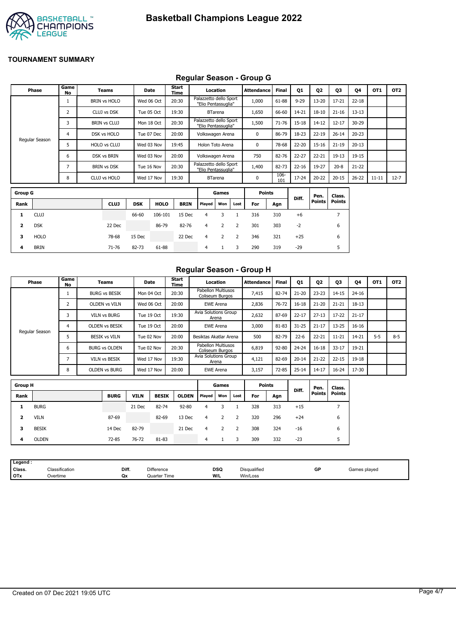

## **Regular Season - Group G**

| Phase          | Game<br>No               | <b>Teams</b>        |            | Date        | Start<br>Time |                                               | Location       |      | Attendance    | <b>Final</b> | Q1        | Q <sub>2</sub> | Q3            | Q4        | OT1       | OT <sub>2</sub> |
|----------------|--------------------------|---------------------|------------|-------------|---------------|-----------------------------------------------|----------------|------|---------------|--------------|-----------|----------------|---------------|-----------|-----------|-----------------|
|                |                          | <b>BRIN vs HOLO</b> |            | Wed 06 Oct  | 20:30         | Palazzetto dello Sport<br>"Elio Pentassuglia" |                |      | 1,000         | 61-88        | $9 - 29$  | 13-20          | $17 - 21$     | $22 - 18$ |           |                 |
|                | 2                        | CLUJ vs DSK         |            | Tue 05 Oct  | 19:30         |                                               | <b>BTarena</b> |      | 1,650         | 66-60        | 14-21     | $18 - 10$      | $21 - 16$     | $13 - 13$ |           |                 |
|                | 3                        | <b>BRIN vs CLUJ</b> |            | Mon 18 Oct  | 20:30         | Palazzetto dello Sport<br>"Elio Pentassuglia" |                |      | 1,500         | $71 - 76$    | $15 - 18$ | $14 - 12$      | $12 - 17$     | 30-29     |           |                 |
| Regular Season | 4                        | DSK vs HOLO         |            | Tue 07 Dec  | 20:00         | Volkswagen Arena                              |                |      | 0             | 86-79        | 18-23     | $22 - 19$      | $26 - 14$     | $20 - 23$ |           |                 |
|                | 5                        | HOLO vs CLUJ        |            | Wed 03 Nov  | 19:45         | Holon Toto Arena                              |                |      | 0             | 78-68        | 22-20     | $15 - 16$      | $21 - 19$     | $20 - 13$ |           |                 |
|                | 6                        | DSK vs BRIN         |            | Wed 03 Nov  | 20:00         | Volkswagen Arena                              |                |      | 750           | 82-76        | 22-27     | $22 - 21$      | $19 - 13$     | 19-15     |           |                 |
|                | $\overline{\phantom{a}}$ | <b>BRIN vs DSK</b>  |            | Tue 16 Nov  | 20:30         | Palazzetto dello Sport<br>"Elio Pentassuglia" |                |      | 1,400         | 82-73        | $22 - 16$ | 19-27          | $20 - 8$      | $21 - 22$ |           |                 |
|                | 8                        | CLUJ vs HOLO        |            | Wed 17 Nov  | 19:30         |                                               | <b>BTarena</b> |      | $\Omega$      | 106-<br>101  | 17-24     | $20 - 22$      | $20 - 15$     | $26 - 22$ | $11 - 11$ | $12 - 7$        |
| <b>Group G</b> |                          |                     |            |             |               |                                               | Games          |      | <b>Points</b> |              |           | Pen.           | Class.        |           |           |                 |
| Rank           |                          | <b>CLUJ</b>         | <b>DSK</b> | <b>HOLO</b> | <b>BRIN</b>   | Played                                        | Won            | Lost | For           | Agn          | Diff.     | <b>Points</b>  | <b>Points</b> |           |           |                 |

| u uup u |             |             |            |             |             |        | aames |      | rums |     | Diff. | Pen.          | Class.        |
|---------|-------------|-------------|------------|-------------|-------------|--------|-------|------|------|-----|-------|---------------|---------------|
| Rank    |             | <b>CLUJ</b> | <b>DSK</b> | <b>HOLO</b> | <b>BRIN</b> | Played | Won   | Lost | For  | Agn |       | <b>Points</b> | <b>Points</b> |
| 1       | <b>CLUJ</b> |             | 66-60      | 106-101     | 15 Dec      | 4      | 3     |      | 316  | 310 | $+6$  |               |               |
| 2       | <b>DSK</b>  | 22 Dec      |            | 86-79       | 82-76       | 4      | 2     | 2    | 301  | 303 | -2    |               | 6             |
| з       | <b>HOLO</b> | 78-68       | 15 Dec     |             | 22 Dec      | 4      | 2     | 2    | 346  | 321 | $+25$ |               | 6             |
| 4       | <b>BRIN</b> | 71-76       | 82-73      | 61-88       |             | 4      |       | 3.   | 290  | 319 | -29   |               |               |

## **Regular Season - Group H**

| Phase          | Game<br>No | Teams                 | Date       | Start<br>Time | Location                              | <b>Attendance</b> | <b>Final</b> | Q1        | Q <sub>2</sub> | Q3        | Q4        | OT <sub>1</sub> | OT <sub>2</sub> |
|----------------|------------|-----------------------|------------|---------------|---------------------------------------|-------------------|--------------|-----------|----------------|-----------|-----------|-----------------|-----------------|
| Regular Season |            | <b>BURG vs BESIK</b>  | Mon 04 Oct | 20:30         | Pabellon Multiusos<br>Coliseum Burgos | 7,415             | 82-74        | $21 - 20$ | $23 - 23$      | $14 - 15$ | $24 - 16$ |                 |                 |
|                | 2          | <b>OLDEN vs VILN</b>  | Wed 06 Oct | 20:00         | EWE Arena                             | 2,836             | 76-72        | $16 - 18$ | $21 - 20$      | $21 - 21$ | $18 - 13$ |                 |                 |
|                | 3          | <b>VILN vs BURG</b>   | Tue 19 Oct | 19:30         | Avia Solutions Group<br>Arena         | 2,632             | 87-69        | $22 - 17$ | $27 - 13$      | $17 - 22$ | $21 - 17$ |                 |                 |
|                | 4          | <b>OLDEN VS BESIK</b> | Tue 19 Oct | 20:00         | <b>EWE Arena</b>                      | 3,000             | 81-83        | $31 - 25$ | $21 - 17$      | 13-25     | $16 - 16$ |                 |                 |
|                | 5          | <b>BESIK vs VILN</b>  | Tue 02 Nov | 20:00         | Besiktas Akatlar Arena                | 500               | 82-79        | $22 - 6$  | $22 - 21$      | $11 - 21$ | 14-21     | $5-5$           | $8 - 5$         |
|                | 6          | <b>BURG vs OLDEN</b>  | Tue 02 Nov | 20:30         | Pabellon Multiusos<br>Coliseum Burgos | 6,819             | $92 - 80$    | $24 - 24$ | $16 - 18$      | $33 - 17$ | 19-21     |                 |                 |
|                |            | <b>VILN vs BESIK</b>  | Wed 17 Nov | 19:30         | Avia Solutions Group<br>Arena         | 4,121             | 82-69        | $20 - 14$ | $21 - 22$      | $22 - 15$ | $19-18$   |                 |                 |
|                | 8          | <b>OLDEN vs BURG</b>  | Wed 17 Nov | 20:00         | <b>EWE Arena</b>                      | 3,157             | 72-85        | $25 - 14$ | $14 - 17$      | $16 - 24$ | 17-30     |                 |                 |
| <b>Group H</b> |            |                       |            |               | Games                                 | <b>Points</b>     |              |           | Pen.           | Class.    |           |                 |                 |
|                |            |                       |            |               |                                       |                   |              | Diff.     | <b>Points</b>  | Points    |           |                 |                 |

| . .  |              |             |             |              |              |        |     |      |     |     |       | ren.          | Class.        |
|------|--------------|-------------|-------------|--------------|--------------|--------|-----|------|-----|-----|-------|---------------|---------------|
| Rank |              | <b>BURG</b> | <b>VILN</b> | <b>BESIK</b> | <b>OLDEN</b> | Played | Won | Lost | For | Agn | Diff. | <b>Points</b> | <b>Points</b> |
|      | <b>BURG</b>  |             | 21 Dec      | 82-74        | $92 - 80$    | 4      |     |      | 328 | 313 | $+15$ |               |               |
|      | <b>VILN</b>  | 87-69       |             | 82-69        | 13 Dec       | 4      |     | 2    | 320 | 296 | $+24$ |               | 6             |
| з    | <b>BESIK</b> | 14 Dec      | 82-79       |              | 21 Dec       | 4      |     | -2   | 308 | 324 | $-16$ |               | 6             |
| 4    | <b>OLDEN</b> | 72-85       | 76-72       | 81-83        |              | 4      |     | 3    | 309 | 332 | $-23$ |               |               |
|      |              |             |             |              |              |        |     |      |     |     |       |               |               |

| Legend :   |                |       |                   |            |                     |    |              |
|------------|----------------|-------|-------------------|------------|---------------------|----|--------------|
| Class.     | Classification | Diff. | <b>Difference</b> | <b>DSQ</b> | <b>Disqualified</b> | GP | Games played |
| <b>OTx</b> | Overtime       | Qx    | Quarter Time      | W/L        | Win/Loss            |    |              |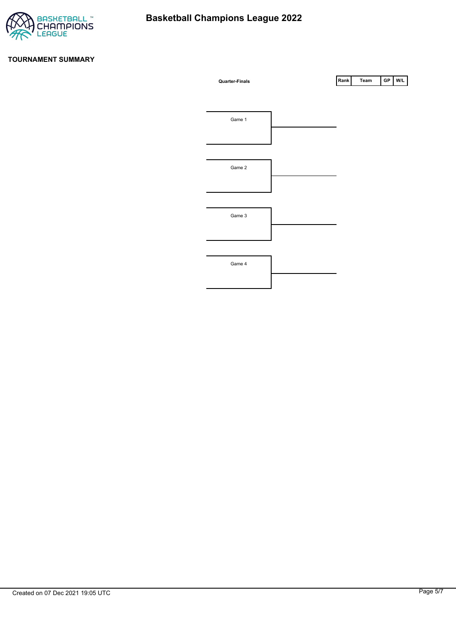

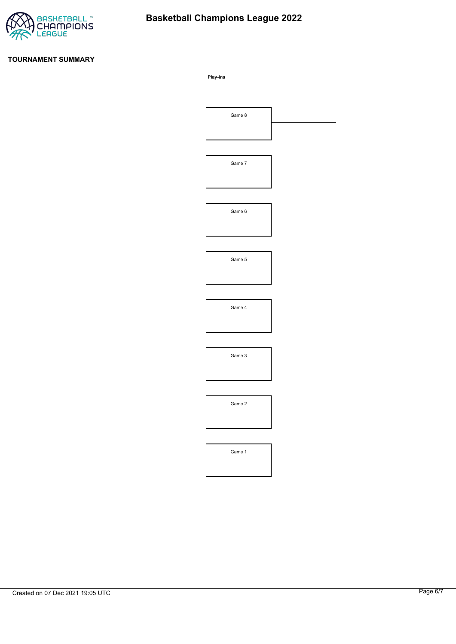

# **Basketball Champions League 2022**

#### **TOURNAMENT SUMMARY**

**Play-ins**

| Game 8 |  |
|--------|--|
|        |  |
|        |  |
| Game 7 |  |
|        |  |
|        |  |
| Game 6 |  |
|        |  |
|        |  |
| Game 5 |  |
|        |  |
|        |  |
| Game 4 |  |
|        |  |
|        |  |
| Game 3 |  |
|        |  |
|        |  |
| Game 2 |  |
|        |  |
|        |  |
| Game 1 |  |
|        |  |
|        |  |